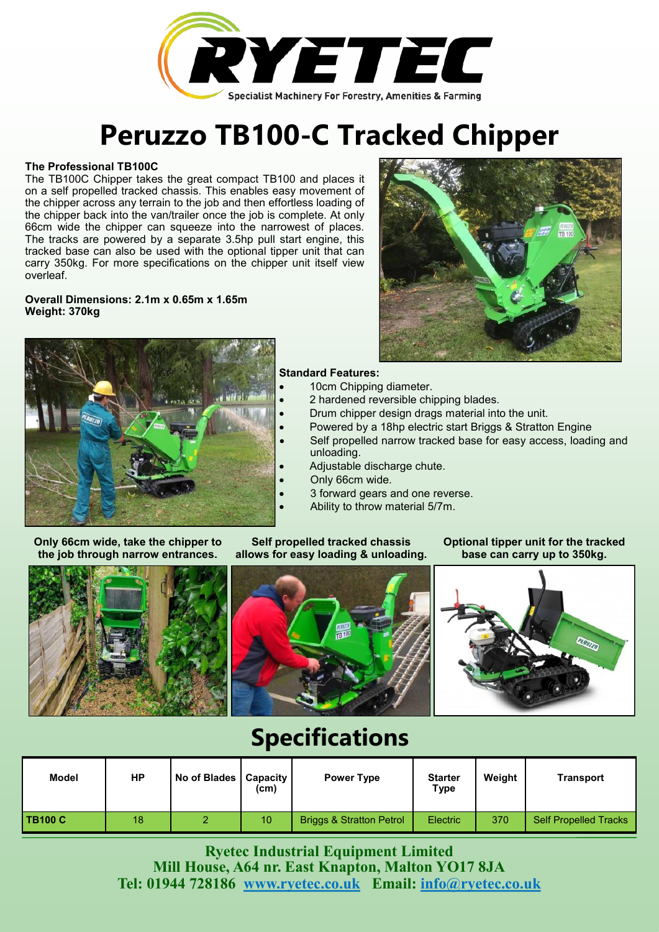

# **Peruzzo TB100-C Tracked Chipper**

### **The Professional TB100C**

The TB100C Chipper takes the great compact TB100 and places it on a self propelled tracked chassis. This enables easy movement of the chipper across any terrain to the job and then effortless loading of the chipper back into the van/trailer once the job is complete. At only 66cm wide the chipper can squeeze into the narrowest of places. The tracks are powered by a separate 3.5hp pull start engine, this tracked base can also be used with the optional tipper unit that can carry 350kg. For more specifications on the chipper unit itself view overleaf.

#### **Overall Dimensions: 2.1m x 0.65m x 1.65m Weight: 370kg**



#### **Standard Features:**

- 10cm Chipping diameter.
- 2 hardened reversible chipping blades.
- Drum chipper design drags material into the unit.
- Powered by a 18hp electric start Briggs & Stratton Engine
- Self propelled narrow tracked base for easy access, loading and unloading.
- Adjustable discharge chute.
- Only 66cm wide.
- 3 forward gears and one reverse.
- Ability to throw material 5/7m.

**Only 66cm wide, take the chipper to the job through narrow entrances.**

**Self propelled tracked chassis allows for easy loading & unloading.**

## **Optional tipper unit for the tracked base can carry up to 350kg.**



## **Specifications**

| Model   | HР | No of Blades   Capacity | (c <sub>m</sub> ) | <b>Power Type</b>                   | <b>Starter</b><br>Type | Weight | Transport             |
|---------|----|-------------------------|-------------------|-------------------------------------|------------------------|--------|-----------------------|
| TB100 C | 18 |                         | 10                | <b>Briggs &amp; Stratton Petrol</b> | <b>Electric</b>        | 370    | Self Propelled Tracks |

**Ryetec Industrial Equipment Limited Mill House, A64 nr. East Knapton, Malton YO17 8JA Tel: 01944 728186 [www.ryetec.co.uk](http://www.ryetec.co.uk) Email: [info@ryetec.co.uk](mailto:info@ryetec.co.uk)**